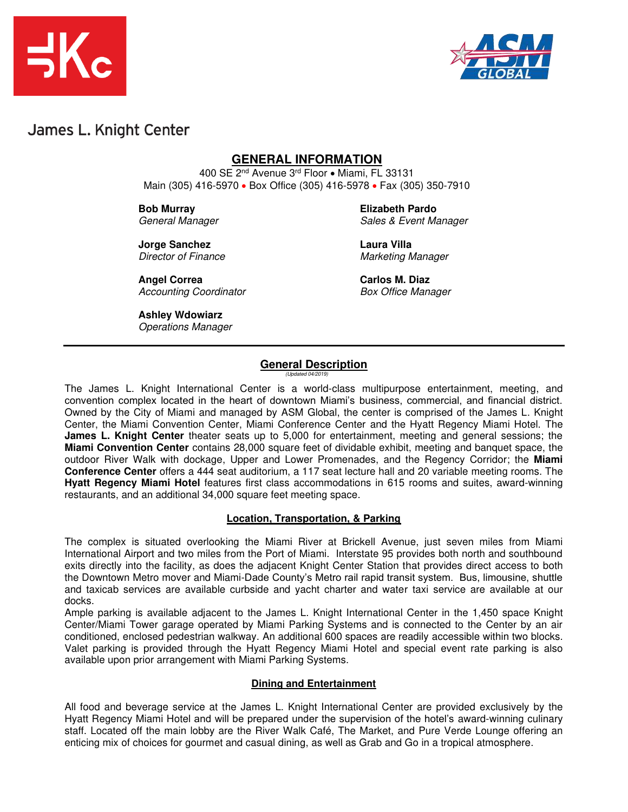



## James L. Knight Center

### **GENERAL INFORMATION**

400 SE 2nd Avenue 3rd Floor • Miami, FL 33131 Main (305) 416-5970 • Box Office (305) 416-5978 • Fax (305) 350-7910

**Bob Murray Elizabeth Pardo**

General Manager Sales & Event Manager

**Jorge Sanchez Laura Villa**  Director of Finance Marketing Manager

Angel Correa **Carlos M. Diaz** Accounting Coordinator **Box Office Manager** 

**Ashley Wdowiarz** 

Operations Manager

### **General Description**

(Updated 04/2019)

The James L. Knight International Center is a world-class multipurpose entertainment, meeting, and convention complex located in the heart of downtown Miami's business, commercial, and financial district. Owned by the City of Miami and managed by ASM Global, the center is comprised of the James L. Knight Center, the Miami Convention Center, Miami Conference Center and the Hyatt Regency Miami Hotel. The **James L. Knight Center** theater seats up to 5,000 for entertainment, meeting and general sessions; the **Miami Convention Center** contains 28,000 square feet of dividable exhibit, meeting and banquet space, the outdoor River Walk with dockage, Upper and Lower Promenades, and the Regency Corridor; the **Miami Conference Center** offers a 444 seat auditorium, a 117 seat lecture hall and 20 variable meeting rooms. The **Hyatt Regency Miami Hotel** features first class accommodations in 615 rooms and suites, award-winning restaurants, and an additional 34,000 square feet meeting space.

#### **Location, Transportation, & Parking**

The complex is situated overlooking the Miami River at Brickell Avenue, just seven miles from Miami International Airport and two miles from the Port of Miami. Interstate 95 provides both north and southbound exits directly into the facility, as does the adjacent Knight Center Station that provides direct access to both the Downtown Metro mover and Miami-Dade County's Metro rail rapid transit system. Bus, limousine, shuttle and taxicab services are available curbside and yacht charter and water taxi service are available at our docks.

Ample parking is available adjacent to the James L. Knight International Center in the 1,450 space Knight Center/Miami Tower garage operated by Miami Parking Systems and is connected to the Center by an air conditioned, enclosed pedestrian walkway. An additional 600 spaces are readily accessible within two blocks. Valet parking is provided through the Hyatt Regency Miami Hotel and special event rate parking is also available upon prior arrangement with Miami Parking Systems.

#### **Dining and Entertainment**

All food and beverage service at the James L. Knight International Center are provided exclusively by the Hyatt Regency Miami Hotel and will be prepared under the supervision of the hotel's award-winning culinary staff. Located off the main lobby are the River Walk Café, The Market, and Pure Verde Lounge offering an enticing mix of choices for gourmet and casual dining, as well as Grab and Go in a tropical atmosphere.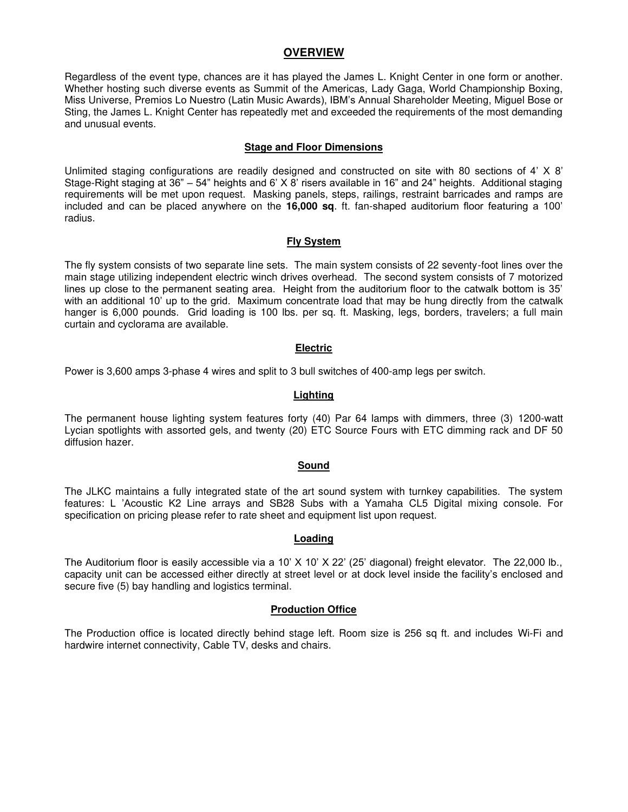#### **OVERVIEW**

Regardless of the event type, chances are it has played the James L. Knight Center in one form or another. Whether hosting such diverse events as Summit of the Americas, Lady Gaga, World Championship Boxing, Miss Universe, Premios Lo Nuestro (Latin Music Awards), IBM's Annual Shareholder Meeting, Miguel Bose or Sting, the James L. Knight Center has repeatedly met and exceeded the requirements of the most demanding and unusual events.

#### **Stage and Floor Dimensions**

Unlimited staging configurations are readily designed and constructed on site with 80 sections of  $4' \times 8'$ Stage-Right staging at 36" – 54" heights and 6' X 8' risers available in 16" and 24" heights. Additional staging requirements will be met upon request. Masking panels, steps, railings, restraint barricades and ramps are included and can be placed anywhere on the **16,000 sq**. ft. fan-shaped auditorium floor featuring a 100' radius.

#### **Fly System**

The fly system consists of two separate line sets. The main system consists of 22 seventy-foot lines over the main stage utilizing independent electric winch drives overhead. The second system consists of 7 motorized lines up close to the permanent seating area. Height from the auditorium floor to the catwalk bottom is 35' with an additional 10' up to the grid. Maximum concentrate load that may be hung directly from the catwalk hanger is 6,000 pounds. Grid loading is 100 lbs. per sq. ft. Masking, legs, borders, travelers; a full main curtain and cyclorama are available.

#### **Electric**

Power is 3,600 amps 3-phase 4 wires and split to 3 bull switches of 400-amp legs per switch.

#### **Lighting**

The permanent house lighting system features forty (40) Par 64 lamps with dimmers, three (3) 1200-watt Lycian spotlights with assorted gels, and twenty (20) ETC Source Fours with ETC dimming rack and DF 50 diffusion hazer.

#### **Sound**

The JLKC maintains a fully integrated state of the art sound system with turnkey capabilities. The system features: L 'Acoustic K2 Line arrays and SB28 Subs with a Yamaha CL5 Digital mixing console. For specification on pricing please refer to rate sheet and equipment list upon request.

#### **Loading**

The Auditorium floor is easily accessible via a 10' X 10' X 22' (25' diagonal) freight elevator. The 22,000 lb., capacity unit can be accessed either directly at street level or at dock level inside the facility's enclosed and secure five (5) bay handling and logistics terminal.

#### **Production Office**

The Production office is located directly behind stage left. Room size is 256 sq ft. and includes Wi-Fi and hardwire internet connectivity, Cable TV, desks and chairs.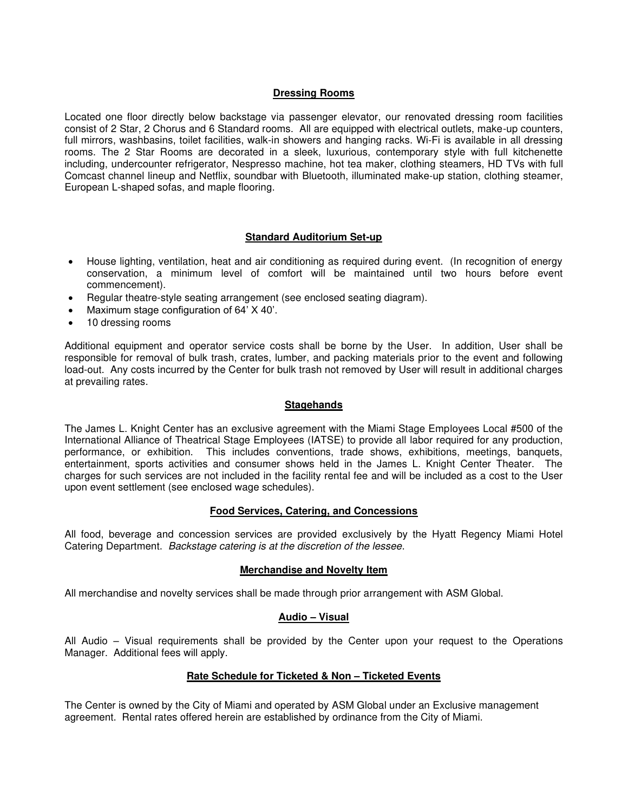#### **Dressing Rooms**

Located one floor directly below backstage via passenger elevator, our renovated dressing room facilities consist of 2 Star, 2 Chorus and 6 Standard rooms. All are equipped with electrical outlets, make-up counters, full mirrors, washbasins, toilet facilities, walk-in showers and hanging racks. Wi-Fi is available in all dressing rooms. The 2 Star Rooms are decorated in a sleek, luxurious, contemporary style with full kitchenette including, undercounter refrigerator, Nespresso machine, hot tea maker, clothing steamers, HD TVs with full Comcast channel lineup and Netflix, soundbar with Bluetooth, illuminated make-up station, clothing steamer, European L-shaped sofas, and maple flooring.

#### **Standard Auditorium Set-up**

- House lighting, ventilation, heat and air conditioning as required during event. (In recognition of energy conservation, a minimum level of comfort will be maintained until two hours before event commencement).
- Regular theatre-style seating arrangement (see enclosed seating diagram).
- Maximum stage configuration of 64' X 40'.
- 10 dressing rooms

Additional equipment and operator service costs shall be borne by the User. In addition, User shall be responsible for removal of bulk trash, crates, lumber, and packing materials prior to the event and following load-out. Any costs incurred by the Center for bulk trash not removed by User will result in additional charges at prevailing rates.

#### **Stagehands**

The James L. Knight Center has an exclusive agreement with the Miami Stage Employees Local #500 of the International Alliance of Theatrical Stage Employees (IATSE) to provide all labor required for any production, performance, or exhibition. This includes conventions, trade shows, exhibitions, meetings, banquets, entertainment, sports activities and consumer shows held in the James L. Knight Center Theater. The charges for such services are not included in the facility rental fee and will be included as a cost to the User upon event settlement (see enclosed wage schedules).

#### **Food Services, Catering, and Concessions**

All food, beverage and concession services are provided exclusively by the Hyatt Regency Miami Hotel Catering Department. Backstage catering is at the discretion of the lessee.

#### **Merchandise and Novelty Item**

All merchandise and novelty services shall be made through prior arrangement with ASM Global.

#### **Audio – Visual**

All Audio – Visual requirements shall be provided by the Center upon your request to the Operations Manager. Additional fees will apply.

#### **Rate Schedule for Ticketed & Non – Ticketed Events**

The Center is owned by the City of Miami and operated by ASM Global under an Exclusive management agreement. Rental rates offered herein are established by ordinance from the City of Miami.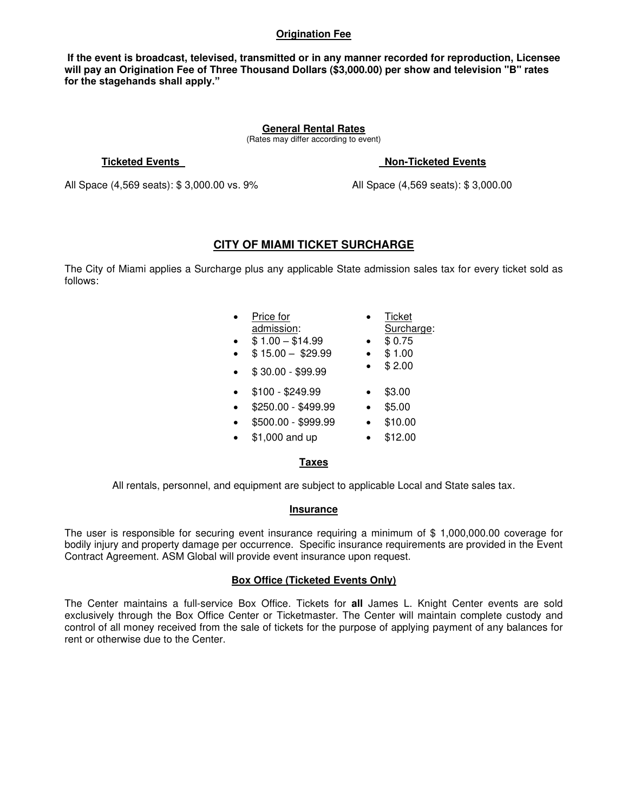#### **Origination Fee**

 **If the event is broadcast, televised, transmitted or in any manner recorded for reproduction, Licensee will pay an Origination Fee of Three Thousand Dollars (\$3,000.00) per show and television "B" rates for the stagehands shall apply."**

#### **General Rental Rates**

(Rates may differ according to event)

#### **Ticketed Events Non-Ticketed Events**

All Space (4,569 seats): \$ 3,000.00 vs. 9% All Space (4,569 seats): \$ 3,000.00

#### **CITY OF MIAMI TICKET SURCHARGE**

The City of Miami applies a Surcharge plus any applicable State admission sales tax for every ticket sold as follows:

| Price for           | Ticket     |
|---------------------|------------|
| admission:          | Surcharge: |
| $$1.00 - $14.99$    | \$0.75     |
| $$15.00 - $29.99$   | \$1.00     |
| $$30.00 - $99.99$   | \$2.00     |
| \$100 - \$249.99    | \$3.00     |
| \$250.00 - \$499.99 | \$5.00     |
| \$500.00 - \$999.99 | \$10.00    |
| \$1,000 and up      | \$12.00    |
|                     |            |

#### **Taxes**

All rentals, personnel, and equipment are subject to applicable Local and State sales tax.

#### **Insurance**

The user is responsible for securing event insurance requiring a minimum of \$ 1,000,000.00 coverage for bodily injury and property damage per occurrence. Specific insurance requirements are provided in the Event Contract Agreement. ASM Global will provide event insurance upon request.

#### **Box Office (Ticketed Events Only)**

The Center maintains a full-service Box Office. Tickets for **all** James L. Knight Center events are sold exclusively through the Box Office Center or Ticketmaster. The Center will maintain complete custody and control of all money received from the sale of tickets for the purpose of applying payment of any balances for rent or otherwise due to the Center.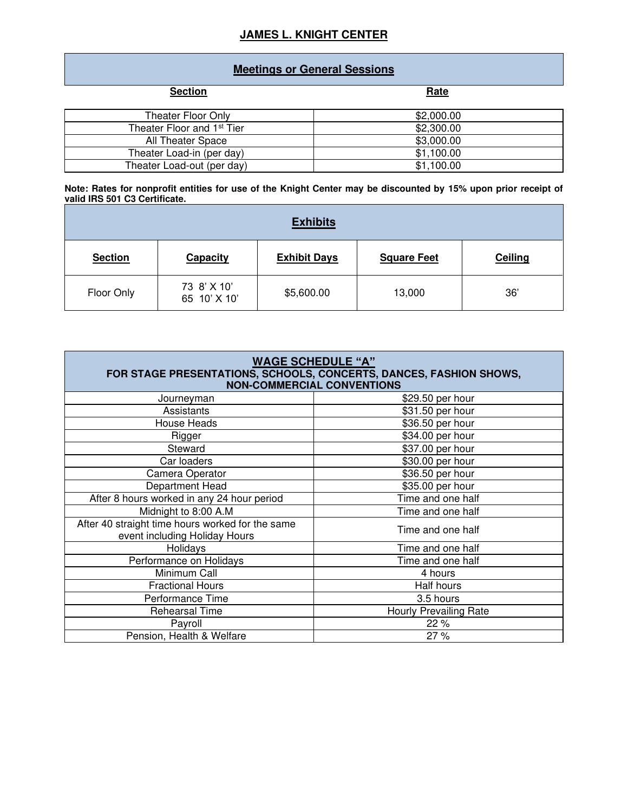### **JAMES L. KNIGHT CENTER**

### **Meetings or General Sessions**

| <b>Section</b>                         | <b>Rate</b> |
|----------------------------------------|-------------|
| Theater Floor Only                     | \$2,000.00  |
| Theater Floor and 1 <sup>st</sup> Tier | \$2,300.00  |
| All Theater Space                      | \$3,000.00  |
| Theater Load-in (per day)              | \$1,100.00  |
| Theater Load-out (per day)             | \$1,100.00  |

**Note: Rates for nonprofit entities for use of the Knight Center may be discounted by 15% upon prior receipt of valid IRS 501 C3 Certificate.** 

| <b>Exhibits</b> |                             |                     |                    |         |  |  |
|-----------------|-----------------------------|---------------------|--------------------|---------|--|--|
| <b>Section</b>  | <b>Capacity</b>             | <b>Exhibit Days</b> | <b>Square Feet</b> | Ceiling |  |  |
| Floor Only      | 73 8' X 10'<br>65 10' X 10' | \$5,600.00          | 13,000             | 36'     |  |  |

| <b>WAGE SCHEDULE "A"</b><br>FOR STAGE PRESENTATIONS, SCHOOLS, CONCERTS, DANCES, FASHION SHOWS,<br><b>NON-COMMERCIAL CONVENTIONS</b> |                               |  |  |
|-------------------------------------------------------------------------------------------------------------------------------------|-------------------------------|--|--|
| Journeyman                                                                                                                          | \$29.50 per hour              |  |  |
| Assistants                                                                                                                          | \$31.50 per hour              |  |  |
| <b>House Heads</b>                                                                                                                  | \$36.50 per hour              |  |  |
| Rigger                                                                                                                              | \$34.00 per hour              |  |  |
| Steward                                                                                                                             | \$37.00 per hour              |  |  |
| \$30.00 per hour<br>Car loaders                                                                                                     |                               |  |  |
| Camera Operator                                                                                                                     | \$36.50 per hour              |  |  |
| Department Head                                                                                                                     | \$35.00 per hour              |  |  |
| After 8 hours worked in any 24 hour period<br>Time and one half                                                                     |                               |  |  |
| Midnight to 8:00 A.M                                                                                                                | Time and one half             |  |  |
| After 40 straight time hours worked for the same<br>event including Holiday Hours                                                   | Time and one half             |  |  |
| Holidays                                                                                                                            | Time and one half             |  |  |
| Performance on Holidays                                                                                                             | Time and one half             |  |  |
| Minimum Call                                                                                                                        | 4 hours                       |  |  |
| <b>Fractional Hours</b>                                                                                                             | Half hours                    |  |  |
| Performance Time                                                                                                                    | 3.5 hours                     |  |  |
| Rehearsal Time                                                                                                                      | <b>Hourly Prevailing Rate</b> |  |  |
| Payroll                                                                                                                             | 22 %                          |  |  |
| Pension, Health & Welfare<br>27 %                                                                                                   |                               |  |  |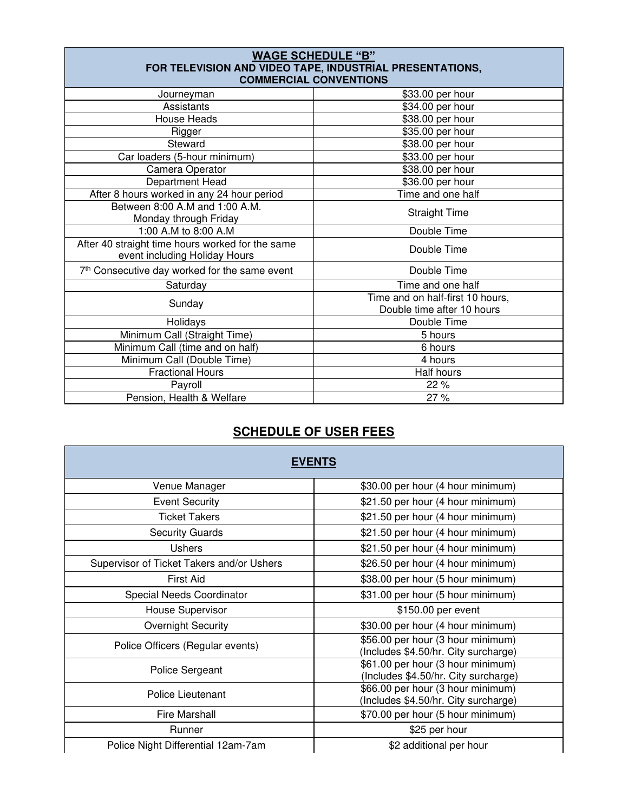| <b>WAGE SCHEDULE "B"</b><br>FOR TELEVISION AND VIDEO TAPE, INDUSTRIAL PRESENTATIONS,<br><b>COMMERCIAL CONVENTIONS</b> |                                                                |  |  |  |
|-----------------------------------------------------------------------------------------------------------------------|----------------------------------------------------------------|--|--|--|
| Journeyman                                                                                                            | \$33.00 per hour                                               |  |  |  |
| Assistants                                                                                                            | \$34.00 per hour                                               |  |  |  |
| House Heads                                                                                                           | \$38.00 per hour                                               |  |  |  |
| Rigger                                                                                                                | \$35.00 per hour                                               |  |  |  |
| Steward                                                                                                               | \$38.00 per hour                                               |  |  |  |
| Car loaders (5-hour minimum)                                                                                          | \$33.00 per hour                                               |  |  |  |
| Camera Operator                                                                                                       | \$38.00 per hour                                               |  |  |  |
| Department Head                                                                                                       | \$36.00 per hour                                               |  |  |  |
| After 8 hours worked in any 24 hour period                                                                            | Time and one half                                              |  |  |  |
| Between 8:00 A.M and 1:00 A.M.<br>Monday through Friday                                                               | <b>Straight Time</b>                                           |  |  |  |
| 1:00 A.M to 8:00 A.M                                                                                                  | Double Time                                                    |  |  |  |
| After 40 straight time hours worked for the same<br>event including Holiday Hours                                     | Double Time                                                    |  |  |  |
| 7th Consecutive day worked for the same event                                                                         | Double Time                                                    |  |  |  |
| Saturday                                                                                                              | Time and one half                                              |  |  |  |
| Sunday                                                                                                                | Time and on half-first 10 hours,<br>Double time after 10 hours |  |  |  |
| Holidays                                                                                                              | Double Time                                                    |  |  |  |
| Minimum Call (Straight Time)                                                                                          | 5 hours                                                        |  |  |  |
| Minimum Call (time and on half)                                                                                       | 6 hours                                                        |  |  |  |
| Minimum Call (Double Time)                                                                                            | 4 hours                                                        |  |  |  |
| <b>Fractional Hours</b>                                                                                               | Half hours                                                     |  |  |  |
| Payroll                                                                                                               | 22 %                                                           |  |  |  |
| Pension, Health & Welfare                                                                                             | 27%                                                            |  |  |  |

### **SCHEDULE OF USER FEES**

| <b>EVENTS</b>                             |                                                                           |  |  |  |
|-------------------------------------------|---------------------------------------------------------------------------|--|--|--|
| Venue Manager                             | \$30.00 per hour (4 hour minimum)                                         |  |  |  |
| <b>Event Security</b>                     | \$21.50 per hour (4 hour minimum)                                         |  |  |  |
| <b>Ticket Takers</b>                      | \$21.50 per hour (4 hour minimum)                                         |  |  |  |
| <b>Security Guards</b>                    | \$21.50 per hour (4 hour minimum)                                         |  |  |  |
| <b>Ushers</b>                             | \$21.50 per hour (4 hour minimum)                                         |  |  |  |
| Supervisor of Ticket Takers and/or Ushers | \$26.50 per hour (4 hour minimum)                                         |  |  |  |
| First Aid                                 | \$38.00 per hour (5 hour minimum)                                         |  |  |  |
| Special Needs Coordinator                 | \$31.00 per hour (5 hour minimum)                                         |  |  |  |
| House Supervisor                          | \$150.00 per event                                                        |  |  |  |
| <b>Overnight Security</b>                 | \$30.00 per hour (4 hour minimum)                                         |  |  |  |
| Police Officers (Regular events)          | \$56.00 per hour (3 hour minimum)<br>(Includes \$4.50/hr. City surcharge) |  |  |  |
| Police Sergeant                           | \$61.00 per hour (3 hour minimum)<br>(Includes \$4.50/hr. City surcharge) |  |  |  |
| Police Lieutenant                         | \$66.00 per hour (3 hour minimum)<br>(Includes \$4.50/hr. City surcharge) |  |  |  |
| <b>Fire Marshall</b>                      | \$70.00 per hour (5 hour minimum)                                         |  |  |  |
| Runner                                    | \$25 per hour                                                             |  |  |  |
| Police Night Differential 12am-7am        | \$2 additional per hour                                                   |  |  |  |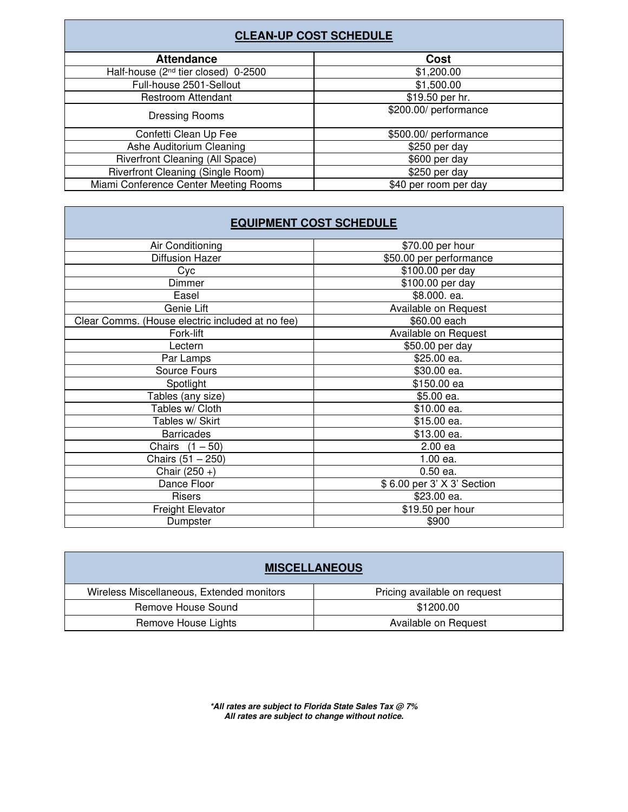| <b>CLEAN-UP COST SCHEDULE</b>                                  |                       |  |  |  |
|----------------------------------------------------------------|-----------------------|--|--|--|
| <b>Attendance</b>                                              | Cost                  |  |  |  |
| Half-house (2 <sup>nd</sup> tier closed) 0-2500                | \$1,200.00            |  |  |  |
| Full-house 2501-Sellout                                        | \$1,500.00            |  |  |  |
| <b>Restroom Attendant</b>                                      | \$19.50 per hr.       |  |  |  |
| <b>Dressing Rooms</b>                                          | \$200.00/ performance |  |  |  |
| Confetti Clean Up Fee                                          | \$500.00/ performance |  |  |  |
| Ashe Auditorium Cleaning                                       | \$250 per day         |  |  |  |
| <b>Riverfront Cleaning (All Space)</b>                         | \$600 per day         |  |  |  |
| <b>Riverfront Cleaning (Single Room)</b>                       | \$250 per day         |  |  |  |
| Miami Conference Center Meeting Rooms<br>\$40 per room per day |                       |  |  |  |

### **EQUIPMENT COST SCHEDULE**

| Air Conditioning                                 | \$70.00 per hour           |  |
|--------------------------------------------------|----------------------------|--|
| Diffusion Hazer                                  | \$50.00 per performance    |  |
| Cyc                                              | \$100.00 per day           |  |
| Dimmer                                           | \$100.00 per day           |  |
| Easel                                            | \$8.000. ea.               |  |
| Genie Lift                                       | Available on Request       |  |
| Clear Comms. (House electric included at no fee) | \$60.00 each               |  |
| Fork-lift                                        | Available on Request       |  |
| Lectern                                          | \$50.00 per day            |  |
| Par Lamps                                        | \$25.00 ea.                |  |
| Source Fours                                     | \$30.00 ea.                |  |
| Spotlight                                        | \$150.00 ea                |  |
| Tables (any size)                                | \$5.00 ea.                 |  |
| Tables w/ Cloth                                  | \$10.00 ea.                |  |
| Tables w/ Skirt                                  | $$15.00$ ea.               |  |
| <b>Barricades</b>                                | \$13.00 ea.                |  |
| Chairs $(1 - 50)$                                | 2.00 ea                    |  |
| Chairs (51 - 250)                                | 1.00 ea.                   |  |
| Chair $(250 +)$                                  | $0.50$ ea.                 |  |
| Dance Floor                                      | \$6.00 per 3' X 3' Section |  |
| <b>Risers</b>                                    | \$23.00 ea.                |  |
| <b>Freight Elevator</b>                          | \$19.50 per hour           |  |
| Dumpster                                         | \$900                      |  |
|                                                  |                            |  |

| <b>MISCELLANEOUS</b>                      |                              |  |  |
|-------------------------------------------|------------------------------|--|--|
| Wireless Miscellaneous, Extended monitors | Pricing available on request |  |  |
| Remove House Sound                        | \$1200.00                    |  |  |
| Remove House Lights                       | Available on Request         |  |  |

**\*All rates are subject to Florida State Sales Tax @ 7% All rates are subject to change without notice.**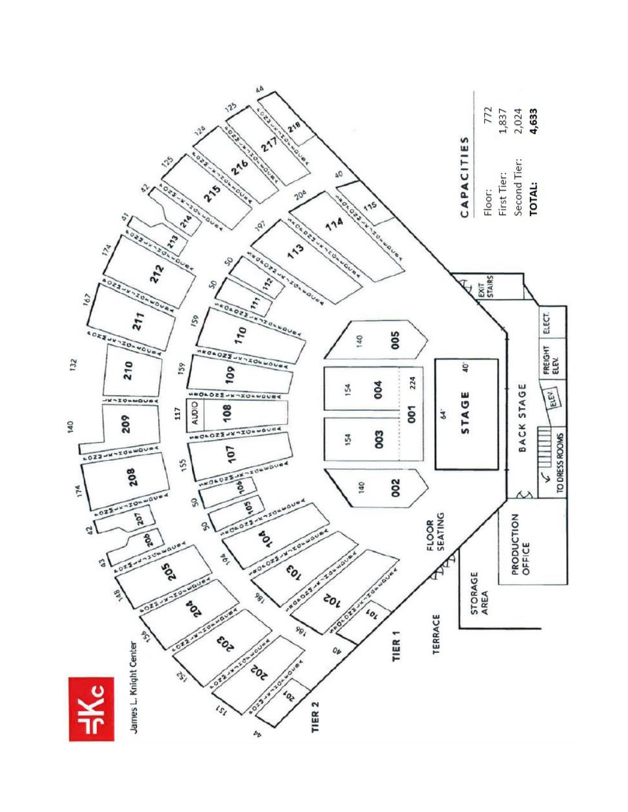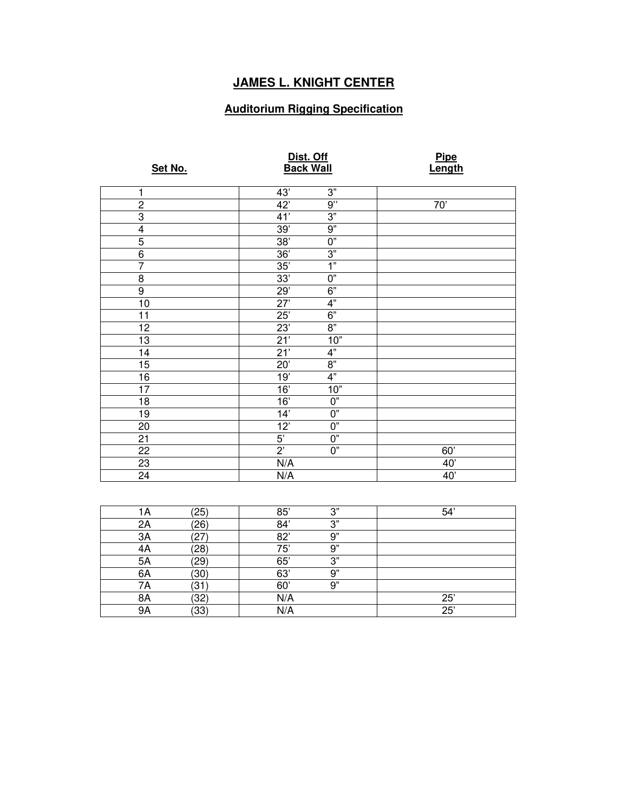### **JAMES L. KNIGHT CENTER**

### **Auditorium Rigging Specification**

| Set No.        | Dist. Off<br><b>Back Wall</b> |                | <b>Pipe</b><br>Length |
|----------------|-------------------------------|----------------|-----------------------|
| 1              | 43'                           | 3"             |                       |
| $\overline{2}$ | 42'                           | 9"             | 70'                   |
| $\overline{3}$ | 41'                           | 3"             |                       |
| $\overline{4}$ | 39'                           | 9"             |                       |
| 5              | 38'                           | $\overline{0}$ |                       |
| $\overline{6}$ | 36'                           | 3"             |                       |
| $\overline{7}$ | 35'                           | 1"             |                       |
| $\overline{8}$ | 33'                           | $0"$           |                       |
| $\overline{9}$ | 29'                           | 6"             |                       |
| 10             | 27'                           | 4"             |                       |
| 11             | 25'                           | 6"             |                       |
| 12             | 23'                           | 8"             |                       |
| 13             | 21'                           | 10"            |                       |
| 14             | 21'                           | 4"             |                       |
| 15             | 20'                           | $8"$           |                       |
| 16             | 19'                           | 4"             |                       |
| 17             | 16'                           | 10"            |                       |
| 18             | 16'                           | 0"             |                       |
| 19             | 14'                           | 0"             |                       |
| 20             | 12'                           | 0"             |                       |
| 21             | $5^{\prime}$                  | 0"             |                       |
| 22             | $2^{\prime}$                  | $0"$           | 60'                   |
| 23             | N/A                           |                | 40'                   |
| 24             | N/A                           |                | 40'                   |

| lΑ | (25)                   | 85' | າ" | 54' |
|----|------------------------|-----|----|-----|
| 2A | (26)                   | 84' | 3" |     |
| 3A | 27                     | 82' | 9" |     |
| 4A | (28)                   | 75' | 9" |     |
| 5A | '29'                   | 65' | 3" |     |
| 6A | $^{\prime}30^{\prime}$ | 63' | 9" |     |
| 7Α | ΄31                    | 60  | 9" |     |
| 8A | (32)                   | N/A |    | 25  |
| 9Α | $^{\prime}33$          | N/A |    | 25' |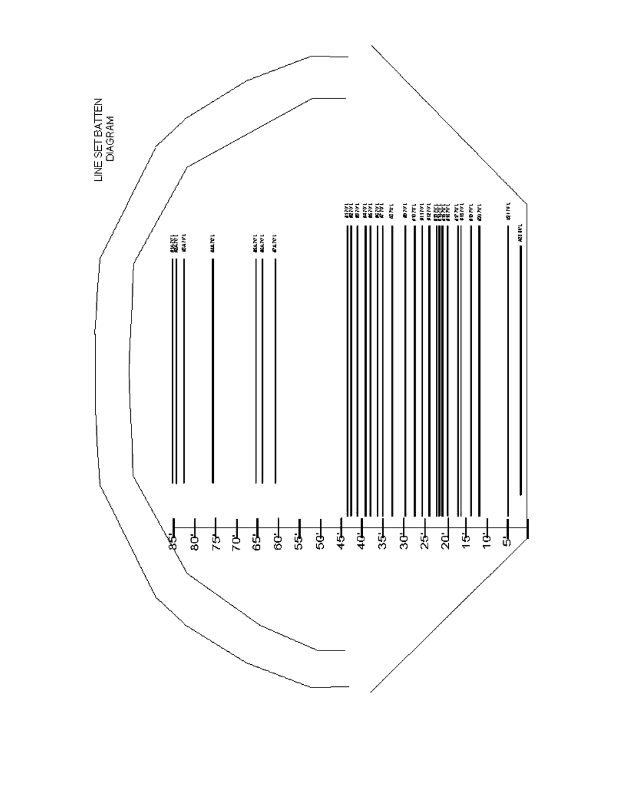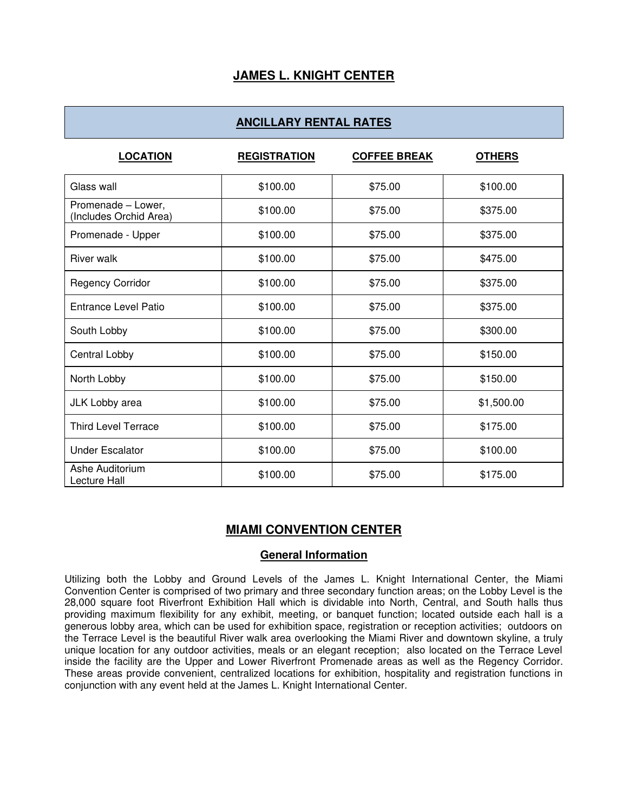### **JAMES L. KNIGHT CENTER**

### **ANCILLARY RENTAL RATES**

| <b>LOCATION</b>                              | <b>REGISTRATION</b> | <b>COFFEE BREAK</b> | <b>OTHERS</b> |
|----------------------------------------------|---------------------|---------------------|---------------|
| Glass wall                                   | \$100.00            | \$75.00             | \$100.00      |
| Promenade - Lower,<br>(Includes Orchid Area) | \$100.00            | \$75.00             | \$375.00      |
| Promenade - Upper                            | \$100.00            | \$75.00             | \$375.00      |
| <b>River walk</b>                            | \$100.00            | \$75.00             | \$475.00      |
| <b>Regency Corridor</b>                      | \$100.00            | \$75.00             | \$375.00      |
| <b>Entrance Level Patio</b>                  | \$100.00            | \$75.00             | \$375.00      |
| South Lobby                                  | \$100.00            | \$75.00             | \$300.00      |
| Central Lobby                                | \$100.00            | \$75.00             | \$150.00      |
| North Lobby                                  | \$100.00            | \$75.00             | \$150.00      |
| JLK Lobby area                               | \$100.00            | \$75.00             | \$1,500.00    |
| <b>Third Level Terrace</b>                   | \$100.00            | \$75.00             | \$175.00      |
| <b>Under Escalator</b>                       | \$100.00            | \$75.00             | \$100.00      |
| Ashe Auditorium<br>Lecture Hall              | \$100.00            | \$75.00             | \$175.00      |

### **MIAMI CONVENTION CENTER**

#### **General Information**

Utilizing both the Lobby and Ground Levels of the James L. Knight International Center, the Miami Convention Center is comprised of two primary and three secondary function areas; on the Lobby Level is the 28,000 square foot Riverfront Exhibition Hall which is dividable into North, Central, and South halls thus providing maximum flexibility for any exhibit, meeting, or banquet function; located outside each hall is a generous lobby area, which can be used for exhibition space, registration or reception activities; outdoors on the Terrace Level is the beautiful River walk area overlooking the Miami River and downtown skyline, a truly unique location for any outdoor activities, meals or an elegant reception; also located on the Terrace Level inside the facility are the Upper and Lower Riverfront Promenade areas as well as the Regency Corridor. These areas provide convenient, centralized locations for exhibition, hospitality and registration functions in conjunction with any event held at the James L. Knight International Center.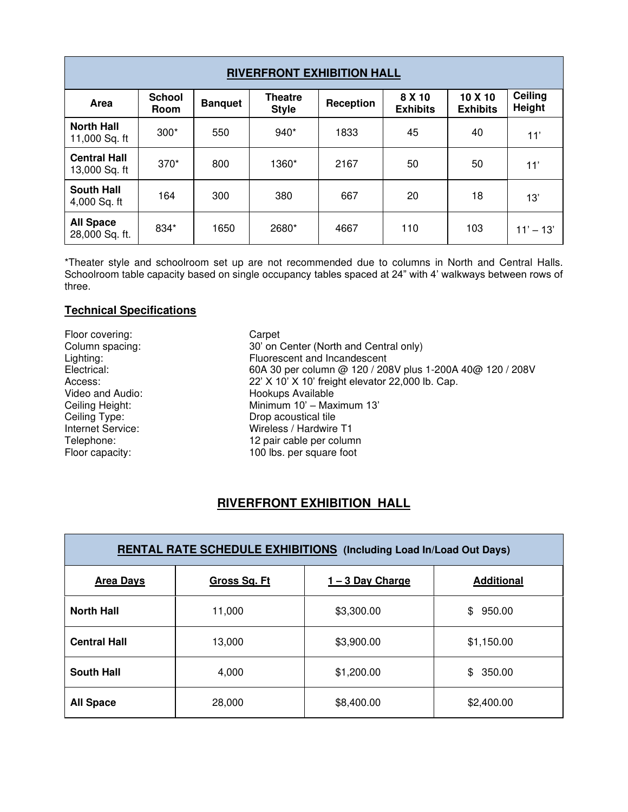| <b>RIVERFRONT EXHIBITION HALL</b>    |                                                                           |      |       |           |                           |                            |                   |  |  |  |
|--------------------------------------|---------------------------------------------------------------------------|------|-------|-----------|---------------------------|----------------------------|-------------------|--|--|--|
| Area                                 | <b>School</b><br><b>Theatre</b><br><b>Banquet</b><br><b>Style</b><br>Room |      |       | Reception | 8 X 10<br><b>Exhibits</b> | 10 X 10<br><b>Exhibits</b> | Ceiling<br>Height |  |  |  |
| <b>North Hall</b><br>11,000 Sq. ft   | $300*$                                                                    | 550  | 940*  | 1833      | 45                        | 40                         | 11'               |  |  |  |
| <b>Central Hall</b><br>13,000 Sq. ft | $370*$                                                                    | 800  | 1360* | 2167      | 50                        | 50                         | 11'               |  |  |  |
| <b>South Hall</b><br>4,000 Sq. ft    | 164                                                                       | 300  | 380   | 667       | 20                        | 18                         | 13'               |  |  |  |
| <b>All Space</b><br>28,000 Sq. ft.   | 834*                                                                      | 1650 | 2680* | 4667      | 110                       | 103                        | $11' - 13'$       |  |  |  |

\*Theater style and schoolroom set up are not recommended due to columns in North and Central Halls. Schoolroom table capacity based on single occupancy tables spaced at 24" with 4' walkways between rows of three.

#### **Technical Specifications**

Floor covering: Carpet Column spacing: Carpet Column spacing: Carpet 20' on C

Column spacing: 30' on Center (North and Central only)<br>Lighting: Fluorescent and Incandescent Lighting: Fluorescent and Incandescent<br>Electrical: 60A 30 per column @ 120 / 20 60A 30 per column @ 120 / 208V plus 1-200A 40@ 120 / 208V Access:<br>
22' X 10' X 10' freight elevator 22,000 lb. Cap.<br>
Uideo and Audio: Elevator 22,000 lb. Cap. Video and Audio: 
Hookups Available<br>
Ceiling Height: 
Hookups Available<br>
Minimum 10' – Max Ceiling Height: Minimum 10' – Maximum 13'<br>
Ceiling Type: The Country Drop acoustical tile Ceiling Type: Drop acoustical tile<br>
Internet Service: Wireless / Hardwire Internet Service: Wireless / Hardwire T1<br>
Telephone: 12 pair cable per colum 12 pair cable per column Floor capacity: 100 lbs. per square foot

### **RIVERFRONT EXHIBITION HALL**

| <b>RENTAL RATE SCHEDULE EXHIBITIONS</b> (Including Load In/Load Out Days) |                     |                |                   |  |  |  |  |  |  |
|---------------------------------------------------------------------------|---------------------|----------------|-------------------|--|--|--|--|--|--|
| <b>Area Days</b>                                                          | <b>Gross Sq. Ft</b> | 1-3 Day Charge | <b>Additional</b> |  |  |  |  |  |  |
| <b>North Hall</b>                                                         | 11,000              | \$3,300.00     | 950.00<br>\$      |  |  |  |  |  |  |
| <b>Central Hall</b>                                                       | 13,000              | \$3,900.00     | \$1,150.00        |  |  |  |  |  |  |
| <b>South Hall</b>                                                         | 4,000               | \$1,200.00     | 350.00<br>\$.     |  |  |  |  |  |  |
| <b>All Space</b>                                                          | 28,000              | \$8,400.00     | \$2,400.00        |  |  |  |  |  |  |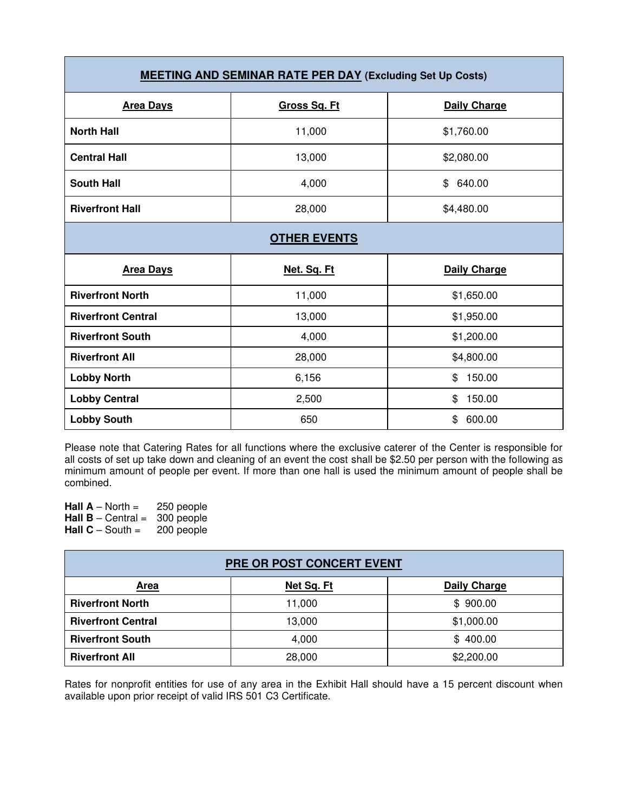| <b>MEETING AND SEMINAR RATE PER DAY (Excluding Set Up Costs)</b> |              |                     |  |  |  |  |  |  |  |
|------------------------------------------------------------------|--------------|---------------------|--|--|--|--|--|--|--|
| <b>Area Days</b>                                                 | Gross Sq. Ft | <b>Daily Charge</b> |  |  |  |  |  |  |  |
| <b>North Hall</b>                                                | 11,000       | \$1,760.00          |  |  |  |  |  |  |  |
| <b>Central Hall</b>                                              | 13,000       | \$2,080.00          |  |  |  |  |  |  |  |
| <b>South Hall</b>                                                | 4,000        | \$<br>640.00        |  |  |  |  |  |  |  |
| <b>Riverfront Hall</b>                                           | 28,000       | \$4,480.00          |  |  |  |  |  |  |  |
| <b>OTHER EVENTS</b>                                              |              |                     |  |  |  |  |  |  |  |
| <b>Area Days</b>                                                 | Net. Sq. Ft  | <b>Daily Charge</b> |  |  |  |  |  |  |  |
| <b>Riverfront North</b>                                          | 11,000       | \$1,650.00          |  |  |  |  |  |  |  |
| <b>Riverfront Central</b>                                        | 13,000       | \$1,950.00          |  |  |  |  |  |  |  |
| <b>Riverfront South</b>                                          | 4,000        | \$1,200.00          |  |  |  |  |  |  |  |
| <b>Riverfront All</b>                                            | 28,000       | \$4,800.00          |  |  |  |  |  |  |  |
| <b>Lobby North</b>                                               | 6,156        | 150.00<br>\$        |  |  |  |  |  |  |  |
| <b>Lobby Central</b>                                             | 2,500        | 150.00<br>\$        |  |  |  |  |  |  |  |
|                                                                  |              |                     |  |  |  |  |  |  |  |

Please note that Catering Rates for all functions where the exclusive caterer of the Center is responsible for all costs of set up take down and cleaning of an event the cost shall be \$2.50 per person with the following as minimum amount of people per event. If more than one hall is used the minimum amount of people shall be combined.

**Hall**  $A - North =$  250 people **Hall B** – Central = 300 people<br>**Hall C** – South = 200 people **Hall C** – South =

| PRE OR POST CONCERT EVENT |            |                     |  |  |  |  |  |  |  |
|---------------------------|------------|---------------------|--|--|--|--|--|--|--|
| Area                      | Net Sq. Ft | <b>Daily Charge</b> |  |  |  |  |  |  |  |
| <b>Riverfront North</b>   | 11,000     | \$900.00            |  |  |  |  |  |  |  |
| <b>Riverfront Central</b> | 13,000     | \$1,000.00          |  |  |  |  |  |  |  |
| <b>Riverfront South</b>   | 4,000      | \$400.00            |  |  |  |  |  |  |  |
| <b>Riverfront All</b>     | 28,000     | \$2,200.00          |  |  |  |  |  |  |  |

Rates for nonprofit entities for use of any area in the Exhibit Hall should have a 15 percent discount when available upon prior receipt of valid IRS 501 C3 Certificate.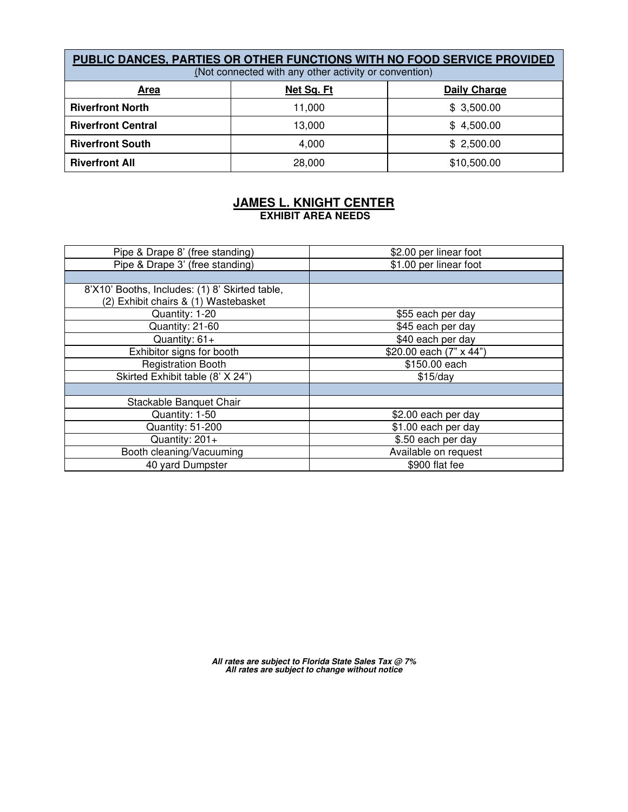| PUBLIC DANCES, PARTIES OR OTHER FUNCTIONS WITH NO FOOD SERVICE PROVIDED<br>(Not connected with any other activity or convention) |                     |             |  |  |  |  |  |  |  |
|----------------------------------------------------------------------------------------------------------------------------------|---------------------|-------------|--|--|--|--|--|--|--|
| <u>Area</u>                                                                                                                      | <b>Daily Charge</b> |             |  |  |  |  |  |  |  |
| <b>Riverfront North</b>                                                                                                          | 11,000              | \$3,500.00  |  |  |  |  |  |  |  |
| <b>Riverfront Central</b>                                                                                                        | 13,000              | \$4,500.00  |  |  |  |  |  |  |  |
| <b>Riverfront South</b>                                                                                                          | 4.000               | \$2,500.00  |  |  |  |  |  |  |  |
| <b>Riverfront All</b>                                                                                                            | 28,000              | \$10,500.00 |  |  |  |  |  |  |  |

#### **JAMES L. KNIGHT CENTER EXHIBIT AREA NEEDS**

| Pipe & Drape 8' (free standing)                                                        | \$2.00 per linear foot  |
|----------------------------------------------------------------------------------------|-------------------------|
| Pipe & Drape 3' (free standing)                                                        | \$1.00 per linear foot  |
|                                                                                        |                         |
| 8'X10' Booths, Includes: (1) 8' Skirted table,<br>(2) Exhibit chairs & (1) Wastebasket |                         |
| Quantity: 1-20                                                                         | \$55 each per day       |
| Quantity: 21-60                                                                        | \$45 each per day       |
| Quantity: $61+$                                                                        | \$40 each per day       |
| Exhibitor signs for booth                                                              | \$20.00 each (7" x 44") |
| <b>Registration Booth</b>                                                              | \$150.00 each           |
| Skirted Exhibit table (8' X 24")                                                       | \$15/day                |
|                                                                                        |                         |
| Stackable Banquet Chair                                                                |                         |
| Quantity: 1-50                                                                         | \$2.00 each per day     |
| Quantity: 51-200                                                                       | \$1.00 each per day     |
| Quantity: 201+                                                                         | \$.50 each per day      |
| Booth cleaning/Vacuuming                                                               | Available on request    |
| 40 yard Dumpster                                                                       | \$900 flat fee          |

**All rates are subject to Florida State Sales Tax @ 7% All rates are subject to change without notice**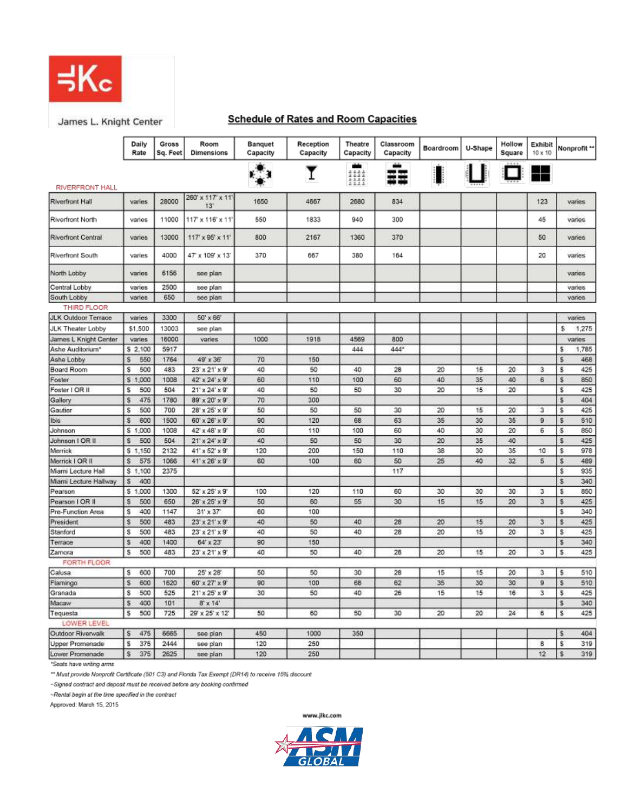

James L. Knight Center

### **Schedule of Rates and Room Capacities**

|                            | Daily<br>Rate | <b>Gross</b><br>Sq. Feet | Room<br><b>Dimensions</b>  | <b>Banquet</b><br>Capacity | Reception<br>Capacity | <b>Theatre</b><br>Capacity | Classroom<br>Capacity | Boardroom | U-Shape | Hollow<br>Square | Exhibit<br>10 x 10 |     | Nonprofit **  |
|----------------------------|---------------|--------------------------|----------------------------|----------------------------|-----------------------|----------------------------|-----------------------|-----------|---------|------------------|--------------------|-----|---------------|
| <b>RIVERFRONT HALL</b>     |               |                          |                            |                            |                       | 1111<br>1111               | X                     |           |         | in B             |                    |     |               |
| Riverfront Hall            | varies        | 28000                    | 260' x 117' x 11'<br>13'   | 1650                       | 4667                  | 2680                       | 834                   |           |         |                  | 123                |     | varies        |
| <b>Riverfront North</b>    | varies        | 11000                    | 117' x 116' x 11'          | 550                        | 1833                  | 940                        | 300                   |           |         |                  | 45                 |     | varies        |
| <b>Riverfront Central</b>  | varies        | 13000                    | 117' x 95' x 11'           | 800                        | 2167                  | 1360                       | 370                   |           |         |                  | 50                 |     | varies        |
| Riverfront South           | varies        | 4000                     | 47" x 109' x 13"           | 370                        | 667                   | 380                        | 164                   |           |         |                  | 20                 |     | varies        |
| North Lobby                | varies        | 6156                     | see plan                   |                            |                       |                            |                       |           |         |                  |                    |     | vanes         |
| Central Lobby              | varies        | 2500                     | see plan                   |                            |                       |                            |                       |           |         |                  |                    |     | varies        |
| South Lobby                | varies        | 650                      | see plan                   |                            |                       |                            |                       |           |         |                  |                    |     | varies        |
| THIRD FLOOR                |               |                          |                            |                            |                       |                            |                       |           |         |                  |                    |     |               |
| <b>JLK Outdoor Terrace</b> | varies        | 3300                     | 50' x 66'                  |                            |                       |                            |                       |           |         |                  |                    |     | varies        |
| JLK Theater Lobby          | \$1,500       | 13003                    | see plan                   |                            |                       |                            |                       |           |         |                  |                    | \$  | 1,275         |
| James L Knight Center      | varies        | 16000                    | varies                     | 1000                       | 1918                  | 4569                       | 800                   |           |         |                  |                    |     | <b>varies</b> |
| Ashe Auditorium*           | \$ 2,100      | 5917                     |                            |                            |                       | 444                        | 444*                  |           |         |                  |                    | \$  | 1,785         |
| Ashe Lobby                 | s<br>550      | 1764                     | 49' x 36'                  | 70                         | 150                   |                            |                       |           |         |                  |                    | Ś.  | 468           |
| <b>Board Room</b>          | s<br>500      | 483                      | $23' \times 21' \times 9'$ | 40                         | 50                    | 40                         | 28                    | 20        | 15      | 20               | 3                  | \$  | 425           |
| Foster                     | \$1,000       | 1008                     | 42" x 24" x 9"             | 60                         | 110                   | 100                        | 60                    | 40        | 35      | 40               | 6                  | \$  | 850           |
| Foster I OR II             | s<br>500      | 504                      | $21' \times 24' \times 9'$ | 40                         | 50                    | 50                         | 30                    | 20        | 15      | 20               |                    | \$  | 425           |
| Gallery                    | 475<br>s      | 1780                     | 89" x 20" x 9"             | 70                         | 300                   |                            |                       |           |         |                  |                    | s.  | 404           |
| Gautier                    | s<br>500      | 700                      | 28' x 25' x 9'             | 50                         | 50                    | 50                         | 30                    | 20        | 15      | 20               | 3                  | \$  | 425           |
| Ibis                       | s<br>600      | 1500                     | 60' x 26' x 9'             | 90                         | 120                   | 68                         | 63                    | 35        | 30      | 35               | $\overline{9}$     | \$  | 510           |
| Johnson                    | \$1,000       | 1008                     | $42' \times 48' \times 9'$ | 60                         | 110                   | 100                        | 60                    | 40        | 30      | 20               | 6                  | \$  | 850           |
| Johnson   OR II            | 500<br>s      | 504                      | $21' \times 24' \times 9'$ | 40                         | 50                    | 50                         | 30                    | 20        | 35      | 40               |                    | \$  | 425           |
| Merrick                    | \$1,150       | 2132                     | 41' x 52' x 9'             | 120                        | 200                   | 150                        | 110                   | 38        | 30      | 35               | 10                 | \$  | 978           |
| Merrick I OR II            | s<br>575      | 1066                     | $41' \times 26' \times 9'$ | 60                         | 100                   | 60                         | 50                    | 25        | 40      | 32               | 5                  | \$  | 489           |
| Miami Lecture Hall         | \$1,100       | 2375                     |                            |                            |                       |                            | 117                   |           |         |                  |                    | \$  | 935           |
| Mami Lecture Hallway       | 400<br>s      |                          |                            |                            |                       |                            |                       |           |         |                  |                    | \$  | 340           |
| Pearson                    | \$1,000       | 1300                     | 52' x 25' x 9'             | 100                        | 120                   | 110                        | 60                    | 30        | 30      | 30               | 3                  | \$. | 850           |
| Pearson   OR II            | 500<br>s      | 650                      | 26" x 25" x 9"             | 50                         | 60                    | 55                         | 30                    | 15        | 15      | 20               | з                  | \$  | 425           |
| Pre-Function Area          | 400<br>s      | 1147                     | $31' \times 37'$           | 60                         | 100                   |                            |                       |           |         |                  |                    | \$  | 340           |
| President                  | 500<br>s      | 483                      | $23' \times 21' \times 9'$ | 40                         | 50                    | 40                         | 28                    | 20        | 15      | 20               | 3                  | \$  | 425           |
| Stanford                   | s<br>500      | 483                      | $23' \times 21' \times 9'$ | 40                         | 50                    | 40                         | 28                    | 20        | 15      | 20               | 3                  | \$  | 425           |
| Terrace                    | 400<br>s      | 1400                     | 64' x 23'                  | 90                         | 150                   |                            |                       |           |         |                  |                    | \$  | 340           |
| Zamora                     | 500<br>s      | 483                      | 23' x 21' x 9'             | 40                         | 50                    | 40                         | 28                    | 20        | 15      | 20               | з                  | \$  | 425           |
| FORTH FLOOR                |               |                          |                            |                            |                       |                            |                       |           |         |                  |                    |     |               |
| Calusa                     | s<br>600      | 700                      | $25 \times 28$             | 50                         | 50                    | 30                         | 28                    | 15        | 15      | 20               | 3                  | s   | 510           |
| Flamingo                   | s<br>600      | 1620                     | 60' x 27' x 9'             | 90                         | 100                   | 68                         | 62                    | 35        | 30      | 30               | 9                  | \$  | 510           |
| Granada                    | s<br>500      | 525                      | $21' \times 25' \times 9'$ | 30                         | 50                    | 40                         | 26                    | 15        | 15      | 16               | 3                  | \$  | 425           |
| Macaw                      | 400<br>s      | 101                      | $8' \times 14'$            |                            |                       |                            |                       |           |         |                  |                    | 串   | 340           |
| Tequesta                   | 500<br>s      | 725                      | 29' x 25' x 12'            | 50                         | 60                    | 50                         | 30                    | 20        | 20      | 24               | 6                  | \$  | 425           |
| LOWER LEVEL                |               |                          |                            |                            |                       |                            |                       |           |         |                  |                    |     |               |
| Outdoor Riverwalk          | s<br>475      | 6665                     | see plan                   | 450                        | 1000                  | 350                        |                       |           |         |                  |                    | \$  | 404           |
| Upper Promenade            | 375<br>s      | 2444                     | see plan                   | 120                        | 250                   |                            |                       |           |         |                  | 8                  | \$  | 319           |
| Lower Promenade            | s<br>375      | 2625                     | see plan                   | 120                        | 250                   |                            |                       |           |         |                  | 12                 | \$  | 319           |

\*Seats have writing arms

\*\* Must provide Nonprofit Certificate (501 C3) and Florida Tax Exempt (DR14) to receive 15% discount

~Signed contract and deposit must be received before any booking confirmed

~Rental begin at the time specified in the contract

Approved: March 15, 2015

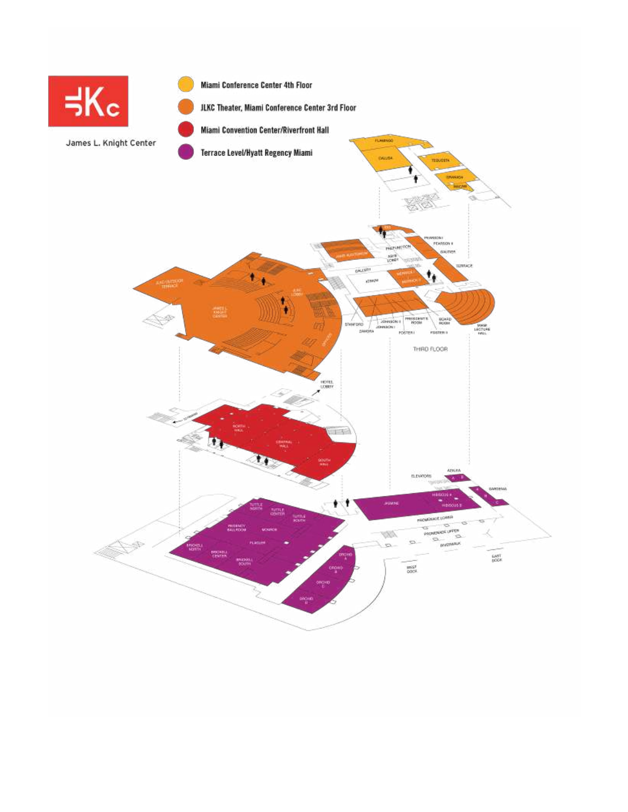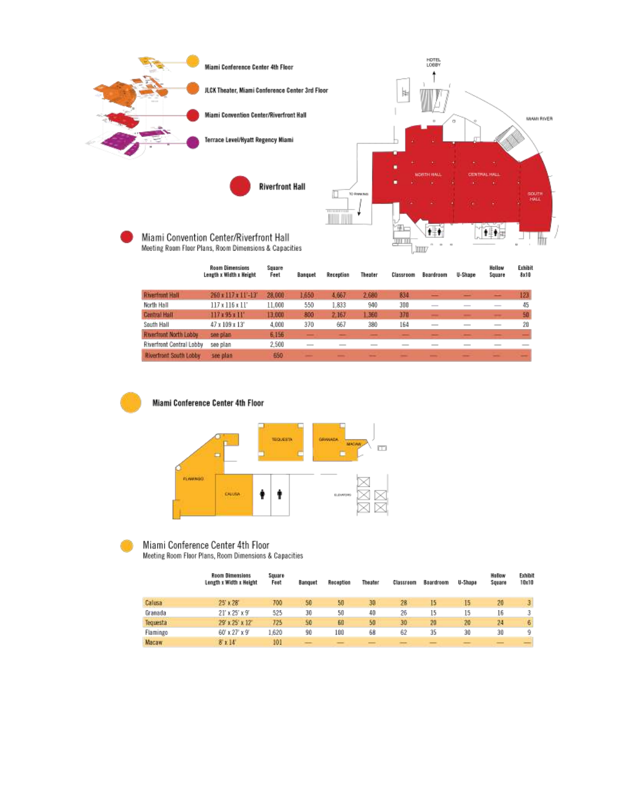





### Miami Conference Center 4th Floor

Meeting Room Floor Plans, Room Dimensions & Capacities

|              | <b>Reom Dimensions</b><br>Length x Width x Height | Square<br>Feet | Banquet | Reception | Theater | Classroom | Boardroom | U-Shape | Hollow<br>Square | Exhibit<br>10x10 |
|--------------|---------------------------------------------------|----------------|---------|-----------|---------|-----------|-----------|---------|------------------|------------------|
| Calusa       | 25' x 28'                                         | 700            | 50      | 50        | 30      | 28        | 15        | 15      | 20               | 3.               |
| Granada      | $21'$ x $25'$ x $9'$                              | 525            | 30      | 50        | 40      | 26        | 15        | 15      | 16               |                  |
| Tequesta     | 29' x 25' x 12'                                   | 725            | 50      | 60        | 50      | 30        | 20        | 20      | 24               | 6                |
| Flamingo     | 60' x 27' x 9'                                    | .620           | 90      | 100       | 68      | 62        | 35        | 30      | 30               | ٥                |
| <b>Масам</b> | 5x14                                              | 101            |         |           |         |           |           |         |                  |                  |